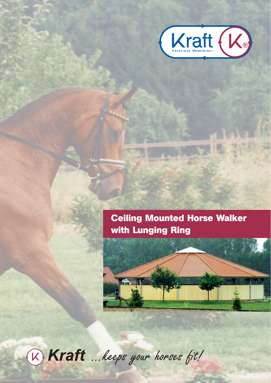

# **Ceiling Mounted Horse Walker** with Lunging Ring



(K) Kraft ... keeps your horses fit!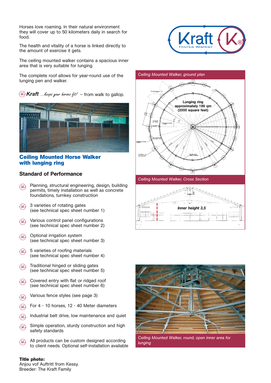Horses love roaming. In their natural environment they will cover up to 50 kilometers daily in search for food.

The health and vitality of a horse is linked directly to the amount of exercise it gets.

The ceiling mounted walker contains a spacious inner area that is very suitable for lunging.

The complete roof allows for year-round use of the lunging pen and walker.

 $\partial \theta$  Kraft …*keeps your horses fit.* $\ell$  - from walk to gallop.



#### **Ceiling Mounted Horse Walker with lunging ring**

#### Standard of Performance

- Planning, structural engineering, design, building permits, timely installation as well as concrete foundations, turnkey construction  $(X)$
- 3 varieties of rotating gates (see technical spec sheet number 1)  $\Omega$
- Various control panel configurations (see technical spec sheet number 2) ®
- Optional irrigation system (see technical spec sheet number 3)  $\mathcal{R}$
- 5 varieties of roofing materials (see technical spec sheet number 4)  $(X)$
- Traditional hinged or sliding gates ® (see technical spec sheet number 5)
- Covered entry with flat or ridged roof (see technical spec sheet number 6)  $\mathcal{R}$
- Various fence styles (see page 3) ®
- For 4 10 horses, 12 40 Meter diameters ®
- Industrial belt drive, low maintenance and quiet  $\mathcal{R}$
- Simple operation, sturdy construction and high safety standards  $({\mathsf k})$
- All products can be custom designed according to client needs. Optional self-installation available  $\mathcal{R}$

#### **Title photo:**

Anjou vof Auftritt from Kessy. Breeder: The Kraft Family



#### *Ceiling Mounted Walker, ground plan*



*Ceiling Mounted Walker, Cross Section*





*Ceiling Mounted Walker, round, open inner area for lunging*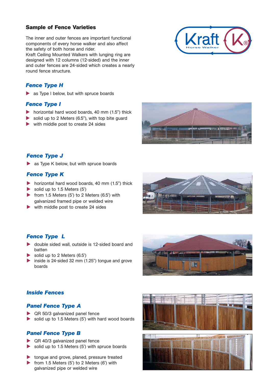## **Sample of Fence Varieties**

The inner and outer fences are important functional components of every horse walker and also affect the safety of both horse and rider.

Kraft Ceiling Mounted Walkers with lunging ring are designed with 12 columns (12-sided) and the inner and outer fences are 24-sided which creates a nearly round fence structure.

## *Fence Type H*

 $\blacktriangleright$  as Type I below, but with spruce boards

#### *Fence Type I*

- $\triangleright$  horizontal hard wood boards, 40 mm (1.5") thick
- solid up to 2 Meters (6.5"), with top bite guard
- with middle post to create 24 sides





## *Fence Type J*

as Type K below, but with spruce boards

## *Fence Type K*

- horizontal hard wood boards, 40 mm (1.5") thick
- solid up to  $1.5$  Meters  $(5')$
- from 1.5 Meters  $(5')$  to 2 Meters  $(6.5')$  with galvanized framed pipe or welded wire
- with middle post to create 24 sides



## *Fence Type L*

- ▶ double sided wall, outside is 12-sided board and batten
- solid up to 2 Meters (6.5')
- inside is 24-sided 32 mm  $(1.25)$  tongue and grove boards



# *Inside Fences*

## *Panel Fence Type A*

- ▶ QR 50/3 galvanized panel fence
- $\triangleright$  solid up to 1.5 Meters (5') with hard wood boards

# *Panel Fence Type B*

- **QR 40/3 galvanized panel fence**
- $\triangleright$  solid up to 1.5 Meters (5') with spruce boards
- tongue and grove, planed, pressure treated
- from 1.5 Meters (5') to 2 Meters (6') with galvanized pipe or welded wire